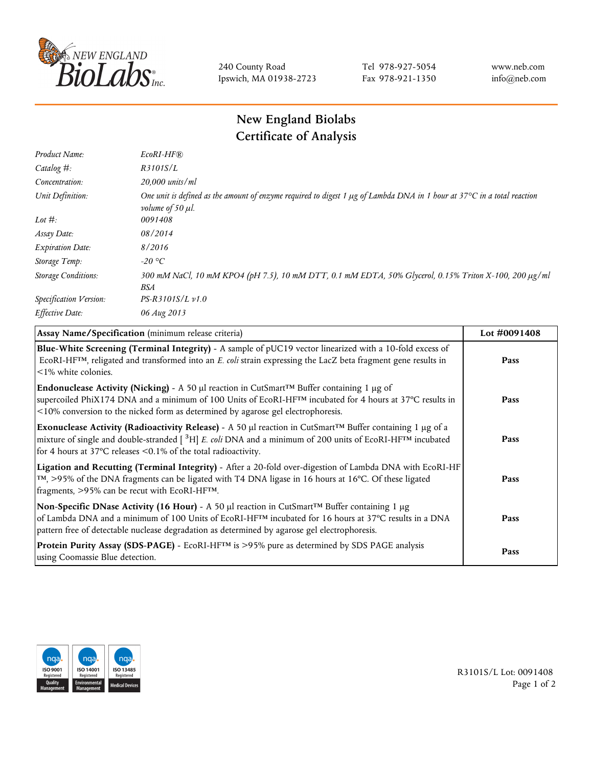

240 County Road Ipswich, MA 01938-2723 Tel 978-927-5054 Fax 978-921-1350 www.neb.com info@neb.com

## **New England Biolabs Certificate of Analysis**

| Product Name:              | EcoRI-HF®                                                                                                                                                       |
|----------------------------|-----------------------------------------------------------------------------------------------------------------------------------------------------------------|
| Catalog #:                 | R3101S/L                                                                                                                                                        |
| Concentration:             | 20,000 units/ml                                                                                                                                                 |
| Unit Definition:           | One unit is defined as the amount of enzyme required to digest 1 $\mu$ g of Lambda DNA in 1 hour at 37 $\degree$ C in a total reaction<br>volume of 50 $\mu$ l. |
| Lot $#$ :                  | 0091408                                                                                                                                                         |
| Assay Date:                | 08/2014                                                                                                                                                         |
| <b>Expiration Date:</b>    | 8/2016                                                                                                                                                          |
| Storage Temp:              | $-20$ °C                                                                                                                                                        |
| <b>Storage Conditions:</b> | 300 mM NaCl, 10 mM KPO4 (pH 7.5), 10 mM DTT, 0.1 mM EDTA, 50% Glycerol, 0.15% Triton X-100, 200 µg/ml<br>BSA                                                    |
| Specification Version:     | PS-R3101S/L v1.0                                                                                                                                                |
| Effective Date:            | 06 Aug 2013                                                                                                                                                     |

| Assay Name/Specification (minimum release criteria)                                                                                                                                                                                                                                                                                          | Lot #0091408 |
|----------------------------------------------------------------------------------------------------------------------------------------------------------------------------------------------------------------------------------------------------------------------------------------------------------------------------------------------|--------------|
| Blue-White Screening (Terminal Integrity) - A sample of pUC19 vector linearized with a 10-fold excess of<br>ECORI-HFTM, religated and transformed into an E. coli strain expressing the LacZ beta fragment gene results in<br>$\leq$ 1% white colonies.                                                                                      | Pass         |
| Endonuclease Activity (Nicking) - A 50 µl reaction in CutSmart <sup>TM</sup> Buffer containing 1 µg of<br>supercoiled PhiX174 DNA and a minimum of 100 Units of EcoRI-HF <sup>TM</sup> incubated for 4 hours at 37°C results in<br><10% conversion to the nicked form as determined by agarose gel electrophoresis.                          | Pass         |
| Exonuclease Activity (Radioactivity Release) - A 50 $\mu$ l reaction in CutSmart <sup>TM</sup> Buffer containing 1 $\mu$ g of a<br>mixture of single and double-stranded $[{}^{3}H]$ E. coli DNA and a minimum of 200 units of EcoRI-HF <sup>TM</sup> incubated<br>for 4 hours at 37 $\degree$ C releases < 0.1% of the total radioactivity. | Pass         |
| Ligation and Recutting (Terminal Integrity) - After a 20-fold over-digestion of Lambda DNA with EcoRI-HF<br>$\lceil m \rceil$ , >95% of the DNA fragments can be ligated with T4 DNA ligase in 16 hours at 16°C. Of these ligated<br>fragments, >95% can be recut with EcoRI-HFTM.                                                           | Pass         |
| Non-Specific DNase Activity (16 Hour) - A 50 $\mu$ l reaction in CutSmart <sup>TM</sup> Buffer containing 1 $\mu$ g<br>of Lambda DNA and a minimum of 100 Units of EcoRI-HF <sup>TM</sup> incubated for 16 hours at 37°C results in a DNA<br>pattern free of detectable nuclease degradation as determined by agarose gel electrophoresis.   | Pass         |
| Protein Purity Assay (SDS-PAGE) - EcoRI-HF <sup>TM</sup> is >95% pure as determined by SDS PAGE analysis<br>using Coomassie Blue detection.                                                                                                                                                                                                  | Pass         |



R3101S/L Lot: 0091408 Page 1 of 2